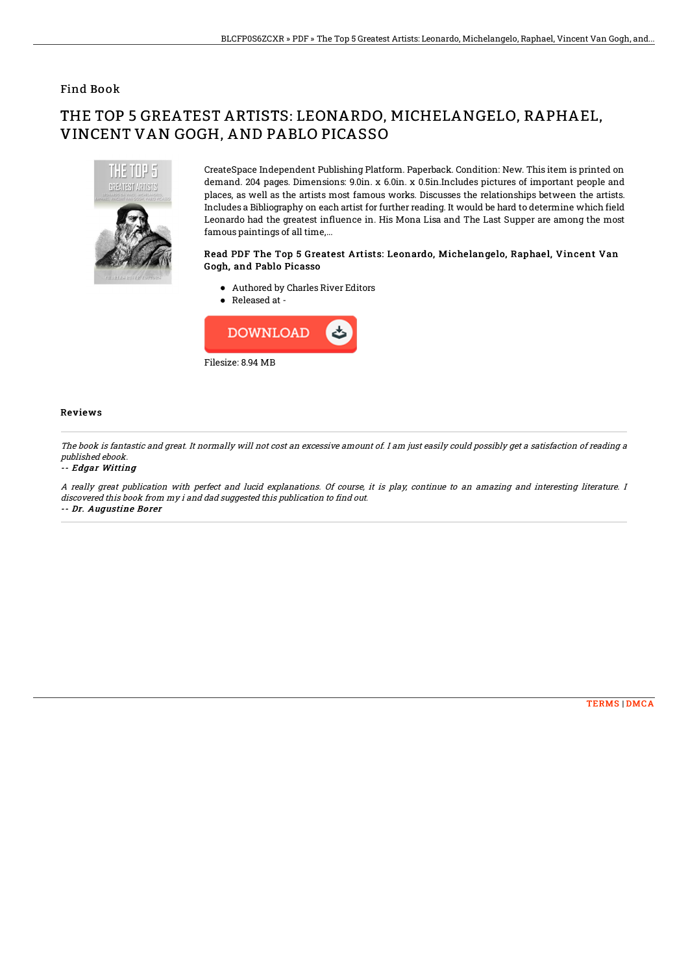## Find Book

# THE TOP 5 GREATEST ARTISTS: LEONARDO, MICHELANGELO, RAPHAEL, VINCENT VAN GOGH, AND PABLO PICASSO



CreateSpace Independent Publishing Platform. Paperback. Condition: New. This item is printed on demand. 204 pages. Dimensions: 9.0in. x 6.0in. x 0.5in.Includes pictures of important people and places, as well as the artists most famous works. Discusses the relationships between the artists. Includes a Bibliography on each artist for further reading. It would be hard to determine which field Leonardo had the greatest influence in. His Mona Lisa and The Last Supper are among the most famous paintings of all time,...

### Read PDF The Top 5 Greatest Artists: Leonardo, Michelangelo, Raphael, Vincent Van Gogh, and Pablo Picasso

- Authored by Charles River Editors
- Released at -



### Reviews

The book is fantastic and great. It normally will not cost an excessive amount of. I am just easily could possibly get <sup>a</sup> satisfaction of reading <sup>a</sup> published ebook.

#### -- Edgar Witting

A really great publication with perfect and lucid explanations. Of course, it is play, continue to an amazing and interesting literature. I discovered this book from my i and dad suggested this publication to find out. -- Dr. Augustine Borer